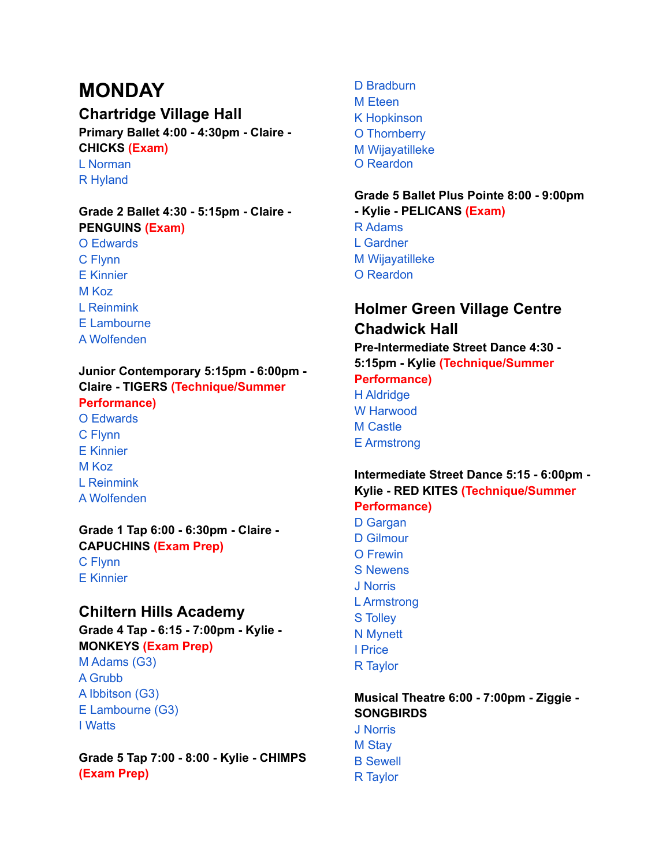# **MONDAY**

# **Chartridge Village Hall**

**Primary Ballet 4:00 - 4:30pm - Claire - CHICKS (Exam)**

L Norman R Hyland

#### **Grade 2 Ballet 4:30 - 5:15pm - Claire - PENGUINS (Exam)** O Edwards

C Flynn

- E Kinnier
- M Koz
- L Reinmink
- E Lambourne
- A Wolfenden

## **Junior Contemporary 5:15pm - 6:00pm - Claire - TIGERS (Technique/Summer**

# **Performance)**

O Edwards C Flynn E Kinnier M Koz L Reinmink A Wolfenden

## **Grade 1 Tap 6:00 - 6:30pm - Claire - CAPUCHINS (Exam Prep)**

C Flynn E Kinnier

# **Chiltern Hills Academy**

**Grade 4 Tap - 6:15 - 7:00pm - Kylie - MONKEYS (Exam Prep)**

M Adams (G3) A Grubb A Ibbitson (G3) E Lambourne (G3) I Watts

**Grade 5 Tap 7:00 - 8:00 - Kylie - CHIMPS (Exam Prep)**

D Bradburn M Eteen K Hopkinson O Thornberry M Wijayatilleke O Reardon

## **Grade 5 Ballet Plus Pointe 8:00 - 9:00pm - Kylie - PELICANS (Exam)**

- R Adams L Gardner
- M Wijayatilleke
- O Reardon

# **Holmer Green Village Centre Chadwick Hall**

**Pre-Intermediate Street Dance 4:30 -**

**5:15pm - Kylie (Technique/Summer**

#### **Performance)** H Aldridge W Harwood M Castle

E Armstrong

## **Intermediate Street Dance 5:15 - 6:00pm - Kylie - RED KITES (Technique/Summer Performance)**

D Gargan D Gilmour O Frewin S Newens J Norris L Armstrong S Tolley N Mynett I Price R Taylor

## **Musical Theatre 6:00 - 7:00pm - Ziggie - SONGBIRDS**

J Norris M Stay B Sewell R Taylor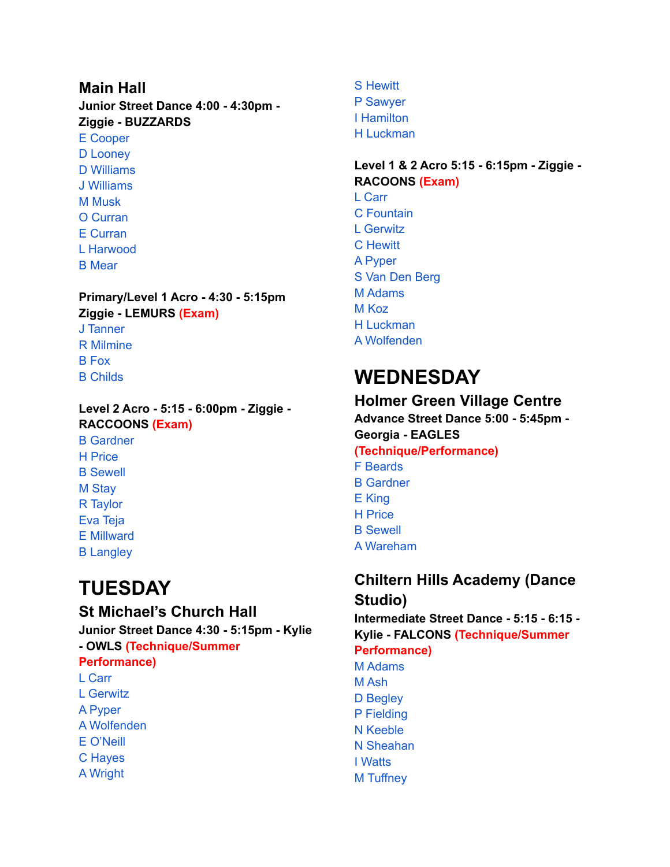# **Main Hall Junior Street Dance 4:00 - 4:30pm - Ziggie - BUZZARDS**

E Cooper D Looney D Williams J Williams M Musk O Curran E Curran L Harwood B Mear

#### **Primary/Level 1 Acro - 4:30 - 5:15pm Ziggie - LEMURS (Exam)** J Tanner R Milmine B Fox

B Childs

## **Level 2 Acro - 5:15 - 6:00pm - Ziggie - RACCOONS (Exam)** B Gardner H Price B Sewell M Stay R Taylor Eva Teja E Millward B Langley

# **TUESDAY**

# **St Michael's Church Hall Junior Street Dance 4:30 - 5:15pm - Kylie**

**- OWLS (Technique/Summer Performance)** L Carr L Gerwitz A Pyper A Wolfenden E O'Neill C Hayes A Wright

S Hewitt P Sawyer I Hamilton H Luckman

**Level 1 & 2 Acro 5:15 - 6:15pm - Ziggie - RACOONS (Exam)**

L Carr C Fountain L Gerwitz C Hewitt A Pyper S Van Den Berg M Adams M Koz H Luckman A Wolfenden

# **WEDNESDAY**

## **Holmer Green Village Centre Advance Street Dance 5:00 - 5:45pm -**

**Georgia - EAGLES (Technique/Performance)** F Beards B Gardner

- E King
- H Price
- B Sewell
- A Wareham

# **Chiltern Hills Academy (Dance Studio)**

**Intermediate Street Dance - 5:15 - 6:15 - Kylie - FALCONS (Technique/Summer**

# **Performance)**

M Adams M Ash D Begley P Fielding N Keeble N Sheahan I Watts M Tuffney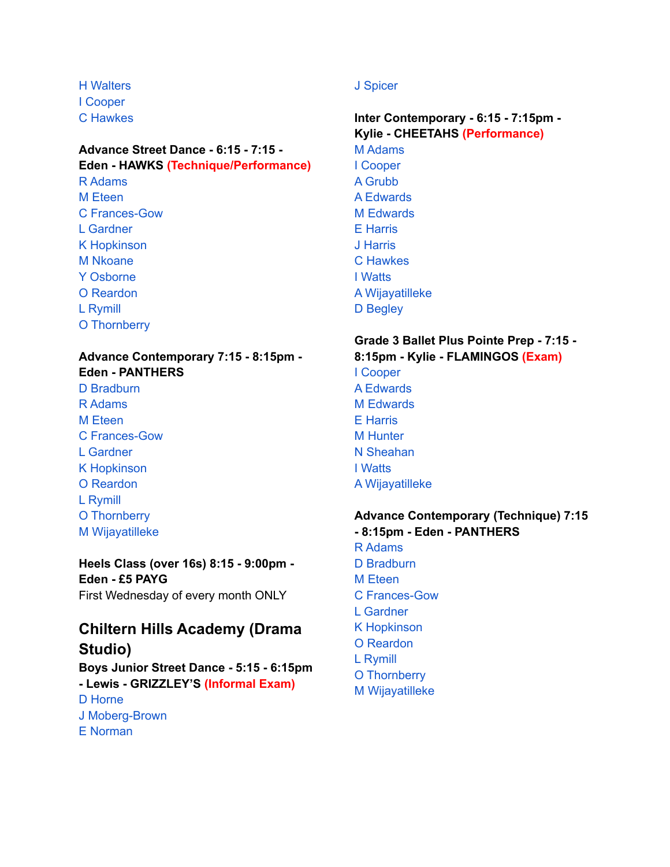H Walters I Cooper C Hawkes

## **Advance Street Dance - 6:15 - 7:15 - Eden - HAWKS (Technique/Performance)** R Adams M Eteen

C Frances-Gow L Gardner K Hopkinson M Nkoane Y Osborne O Reardon L Rymill O Thornberry

# **Advance Contemporary 7:15 - 8:15pm - Eden - PANTHERS**

D Bradburn R Adams M Eteen C Frances-Gow L Gardner K Hopkinson O Reardon L Rymill O Thornberry M Wijayatilleke

**Heels Class (over 16s) 8:15 - 9:00pm - Eden - £5 PAYG** First Wednesday of every month ONLY

# **Chiltern Hills Academy (Drama Studio)**

**Boys Junior Street Dance - 5:15 - 6:15pm - Lewis - GRIZZLEY'S (Informal Exam)** D Horne J Moberg-Brown E Norman

## J Spicer

**Inter Contemporary - 6:15 - 7:15pm - Kylie - CHEETAHS (Performance)** M Adams I Cooper A Grubb A Edwards M Edwards E Harris J Harris C Hawkes I Watts A Wijayatilleke D Begley

#### **Grade 3 Ballet Plus Pointe Prep - 7:15 - 8:15pm - Kylie - FLAMINGOS (Exam)**

I Cooper A Edwards M Edwards E Harris M Hunter N Sheahan I Watts A Wijayatilleke

## **Advance Contemporary (Technique) 7:15 - 8:15pm - Eden - PANTHERS** R Adams D Bradburn M Eteen C Frances-Gow L Gardner K Hopkinson

- O Reardon
- L Rymill
- O Thornberry
- M Wijayatilleke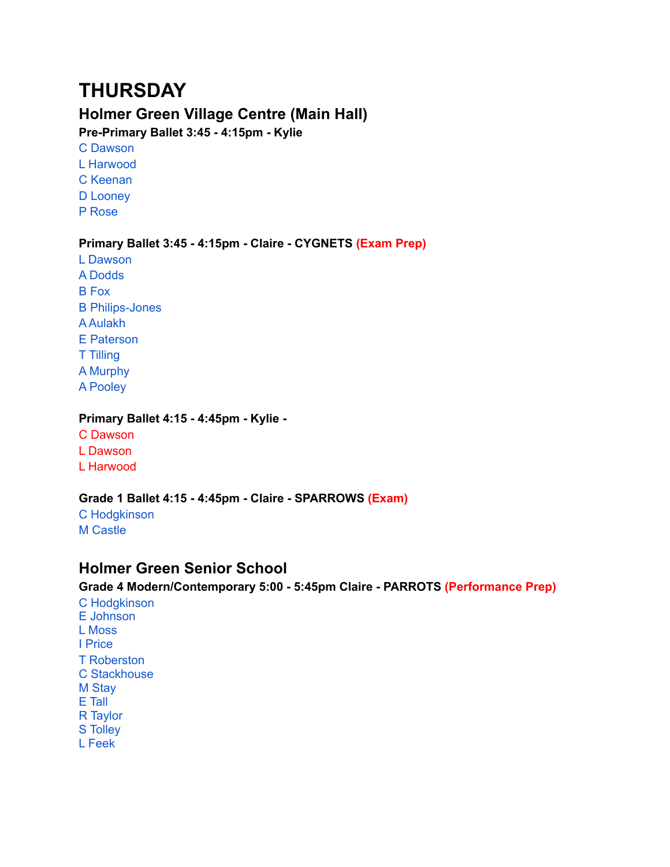# **THURSDAY**

# **Holmer Green Village Centre (Main Hall)**

**Pre-Primary Ballet 3:45 - 4:15pm - Kylie**

- C Dawson L Harwood C Keenan D Looney
- P Rose

#### **Primary Ballet 3:45 - 4:15pm - Claire - CYGNETS (Exam Prep)**

L Dawson A Dodds B Fox B Philips-Jones A Aulakh E Paterson T Tilling A Murphy A Pooley

#### **Primary Ballet 4:15 - 4:45pm - Kylie -**

C Dawson L Dawson L Harwood

#### **Grade 1 Ballet 4:15 - 4:45pm - Claire - SPARROWS (Exam)**

C Hodgkinson M Castle

## **Holmer Green Senior School**

#### **Grade 4 Modern/Contemporary 5:00 - 5:45pm Claire - PARROTS (Performance Prep)**

C Hodgkinson E Johnson L Moss I Price T Roberston C Stackhouse M Stay E Tall R Taylor S Tolley L Feek